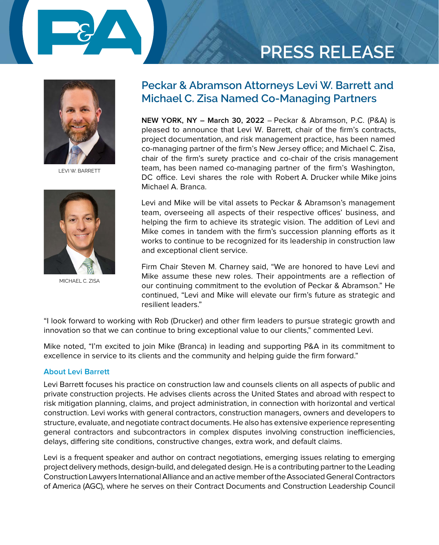

# **PRESS RELEASE**



LEVI W. BARRETT



MICHAEL C. ZISA

### **Peckar & Abramson Attorneys Levi W. Barrett and Michael C. Zisa Named Co-Managing Partners**

**NEW YORK, NY – March 30, 2022** – Peckar & Abramson, P.C. (P&A) is pleased to announce that Levi W. Barrett, chair of the firm's contracts, project documentation, and risk management practice, has been named co-managing partner of the firm's New Jersey office; and Michael C. Zisa, chair of the firm's surety practice and co-chair of the crisis management team, has been named co-managing partner of the firm's Washington, DC office. Levi shares the role with Robert A. Drucker while Mike joins Michael A. Branca.

Levi and Mike will be vital assets to Peckar & Abramson's management team, overseeing all aspects of their respective offices' business, and helping the firm to achieve its strategic vision. The addition of Levi and Mike comes in tandem with the firm's succession planning efforts as it works to continue to be recognized for its leadership in construction law and exceptional client service.

Firm Chair Steven M. Charney said, "We are honored to have Levi and Mike assume these new roles. Their appointments are a reflection of our continuing commitment to the evolution of Peckar & Abramson." He continued, "Levi and Mike will elevate our firm's future as strategic and resilient leaders."

"I look forward to working with Rob (Drucker) and other firm leaders to pursue strategic growth and innovation so that we can continue to bring exceptional value to our clients," commented Levi.

Mike noted, "I'm excited to join Mike (Branca) in leading and supporting P&A in its commitment to excellence in service to its clients and the community and helping guide the firm forward."

### **About Levi Barrett**

Levi Barrett focuses his practice on construction law and counsels clients on all aspects of public and private construction projects. He advises clients across the United States and abroad with respect to risk mitigation planning, claims, and project administration, in connection with horizontal and vertical construction. Levi works with general contractors, construction managers, owners and developers to structure, evaluate, and negotiate contract documents. He also has extensive experience representing general contractors and subcontractors in complex disputes involving construction inefficiencies, delays, differing site conditions, constructive changes, extra work, and default claims.

Levi is a frequent speaker and author on contract negotiations, emerging issues relating to emerging project delivery methods, design-build, and delegated design. He is a contributing partner to the Leading Construction Lawyers International Alliance and an active member of the Associated General Contractors of America (AGC), where he serves on their Contract Documents and Construction Leadership Council